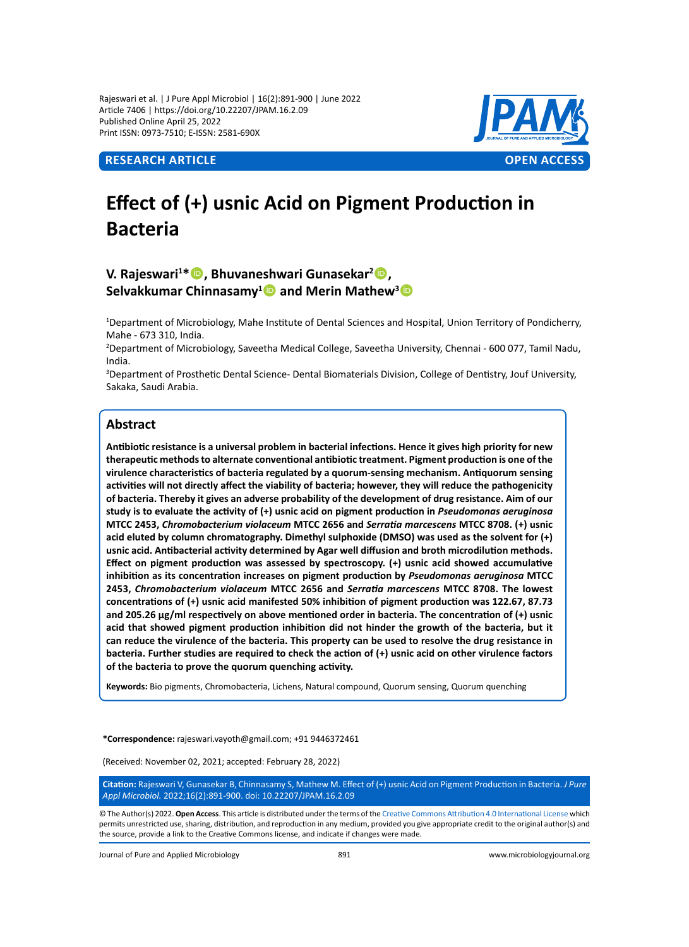Rajeswari et al. | J Pure Appl Microbiol | 16(2):891-900 | June 2022 Article 7406 | https://doi.org/10.22207/JPAM.16.2.09 Published Online April 25, 2022 Print ISSN: 0973-7510; E-ISSN: 2581-690X



# **Effect of (+) usnic Acid on Pigment Production in Bacteria**

## **V. Rajeswari1 \*, Bhuvaneshwari Gunasekar<sup>2</sup> , Selvakkumar Chinnasamy<sup>1</sup> and Merin Mathew3**

1 Department of Microbiology, Mahe Institute of Dental Sciences and Hospital, Union Territory of Pondicherry, Mahe - 673 310, India.

2 Department of Microbiology, Saveetha Medical College, Saveetha University, Chennai - 600 077, Tamil Nadu, India.

3 Department of Prosthetic Dental Science- Dental Biomaterials Division, College of Dentistry, Jouf University, Sakaka, Saudi Arabia.

## **Abstract**

**Antibiotic resistance is a universal problem in bacterial infections. Hence it gives high priority for new therapeutic methods to alternate conventional antibiotic treatment. Pigment production is one of the virulence characteristics of bacteria regulated by a quorum-sensing mechanism. Antiquorum sensing activities will not directly affect the viability of bacteria; however, they will reduce the pathogenicity of bacteria. Thereby it gives an adverse probability of the development of drug resistance. Aim of our study is to evaluate the activity of (+) usnic acid on pigment production in** *Pseudomonas aeruginosa* **MTCC 2453,** *Chromobacterium violaceum* **MTCC 2656 and** *Serratia marcescens* **MTCC 8708. (+) usnic acid eluted by column chromatography. Dimethyl sulphoxide (DMSO) was used as the solvent for (+) usnic acid. Antibacterial activity determined by Agar well diffusion and broth microdilution methods. Effect on pigment production was assessed by spectroscopy. (+) usnic acid showed accumulative inhibition as its concentration increases on pigment production by** *Pseudomonas aeruginosa* **MTCC 2453,** *Chromobacterium violaceum* **MTCC 2656 and** *Serratia marcescens* **MTCC 8708. The lowest concentrations of (+) usnic acid manifested 50% inhibition of pigment production was 122.67, 87.73 and 205.26 µg/ml respectively on above mentioned order in bacteria. The concentration of (+) usnic acid that showed pigment production inhibition did not hinder the growth of the bacteria, but it can reduce the virulence of the bacteria. This property can be used to resolve the drug resistance in bacteria. Further studies are required to check the action of (+) usnic acid on other virulence factors of the bacteria to prove the quorum quenching activity.** 

**Keywords:** Bio pigments, Chromobacteria, Lichens, Natural compound, Quorum sensing, Quorum quenching

**\*Correspondence:** rajeswari.vayoth@gmail.com; +91 9446372461

(Received: November 02, 2021; accepted: February 28, 2022)

**Citation:** Rajeswari V, Gunasekar B, Chinnasamy S, Mathew M. Effect of (+) usnic Acid on Pigment Production in Bacteria. *J Pure Appl Microbiol.* 2022;16(2):891-900. doi: 10.22207/JPAM.16.2.09

© The Author(s) 2022. **Open Access**. This article is distributed under the terms of the [Creative Commons Attribution 4.0 International License](https://creativecommons.org/licenses/by/4.0/) which permits unrestricted use, sharing, distribution, and reproduction in any medium, provided you give appropriate credit to the original author(s) and the source, provide a link to the Creative Commons license, and indicate if changes were made.

Journal of Pure and Applied Microbiology 891 www.microbiologyjournal.org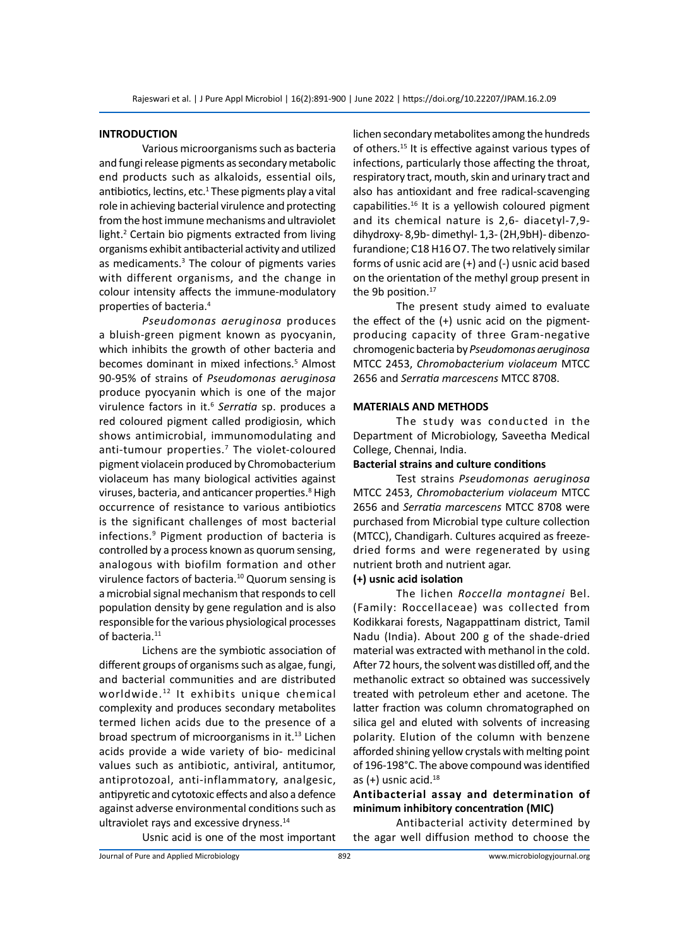### **INTRODUCTION**

Various microorganisms such as bacteria and fungi release pigments as secondary metabolic end products such as alkaloids, essential oils, antibiotics, lectins, etc.<sup>1</sup> These pigments play a vital role in achieving bacterial virulence and protecting from the host immune mechanisms and ultraviolet light.<sup>2</sup> Certain bio pigments extracted from living organisms exhibit antibacterial activity and utilized as medicaments.<sup>3</sup> The colour of pigments varies with different organisms, and the change in colour intensity affects the immune-modulatory properties of bacteria.<sup>4</sup>

*Pseudomonas aeruginosa* produces a bluish-green pigment known as pyocyanin, which inhibits the growth of other bacteria and becomes dominant in mixed infections.<sup>5</sup> Almost 90-95% of strains of *Pseudomonas aeruginosa* produce pyocyanin which is one of the major virulence factors in it.<sup>6</sup> Serratia sp. produces a red coloured pigment called prodigiosin, which shows antimicrobial, immunomodulating and anti-tumour properties.<sup>7</sup> The violet-coloured pigment violacein produced by Chromobacterium violaceum has many biological activities against viruses, bacteria, and anticancer properties.<sup>8</sup> High occurrence of resistance to various antibiotics is the significant challenges of most bacterial infections.<sup>9</sup> Pigment production of bacteria is controlled by a process known as quorum sensing, analogous with biofilm formation and other virulence factors of bacteria.<sup>10</sup> Quorum sensing is a microbial signal mechanism that responds to cell population density by gene regulation and is also responsible for the various physiological processes of bacteria.<sup>11</sup>

Lichens are the symbiotic association of different groups of organisms such as algae, fungi, and bacterial communities and are distributed worldwide.<sup>12</sup> It exhibits unique chemical complexity and produces secondary metabolites termed lichen acids due to the presence of a broad spectrum of microorganisms in it.<sup>13</sup> Lichen acids provide a wide variety of bio- medicinal values such as antibiotic, antiviral, antitumor, antiprotozoal, anti-inflammatory, analgesic, antipyretic and cytotoxic effects and also a defence against adverse environmental conditions such as ultraviolet rays and excessive dryness.14

lichen secondary metabolites among the hundreds of others.<sup>15</sup> It is effective against various types of infections, particularly those affecting the throat, respiratory tract, mouth, skin and urinary tract and also has antioxidant and free radical-scavenging capabilities.<sup>16</sup> It is a yellowish coloured pigment and its chemical nature is 2,6- diacetyl-7,9 dihydroxy- 8,9b- dimethyl- 1,3- (2H,9bH)- dibenzofurandione; C18 H16 O7. The two relatively similar forms of usnic acid are (+) and (-) usnic acid based on the orientation of the methyl group present in the 9b position.<sup>17</sup>

The present study aimed to evaluate the effect of the (+) usnic acid on the pigmentproducing capacity of three Gram-negative chromogenic bacteria by *Pseudomonas aeruginosa* MTCC 2453, *Chromobacterium violaceum* MTCC 2656 and *Serratia marcescens* MTCC 8708.

#### **MATERIALS AND METHODS**

The study was conducted in the Department of Microbiology, Saveetha Medical College, Chennai, India.

#### **Bacterial strains and culture conditions**

Test strains *Pseudomonas aeruginosa* MTCC 2453, *Chromobacterium violaceum* MTCC 2656 and *Serratia marcescens* MTCC 8708 were purchased from Microbial type culture collection (MTCC), Chandigarh. Cultures acquired as freezedried forms and were regenerated by using nutrient broth and nutrient agar.

## **(+) usnic acid isolation**

The lichen *Roccella montagnei* Bel. (Family: Roccellaceae) was collected from Kodikkarai forests, Nagappattinam district, Tamil Nadu (India). About 200 g of the shade-dried material was extracted with methanol in the cold. After 72 hours, the solvent was distilled off, and the methanolic extract so obtained was successively treated with petroleum ether and acetone. The latter fraction was column chromatographed on silica gel and eluted with solvents of increasing polarity. Elution of the column with benzene afforded shining yellow crystals with melting point of 196-198°C. The above compound was identified as  $(+)$  usnic acid.<sup>18</sup>

## **Antibacterial assay and determination of minimum inhibitory concentration (MIC)**

Antibacterial activity determined by the agar well diffusion method to choose the

Usnic acid is one of the most important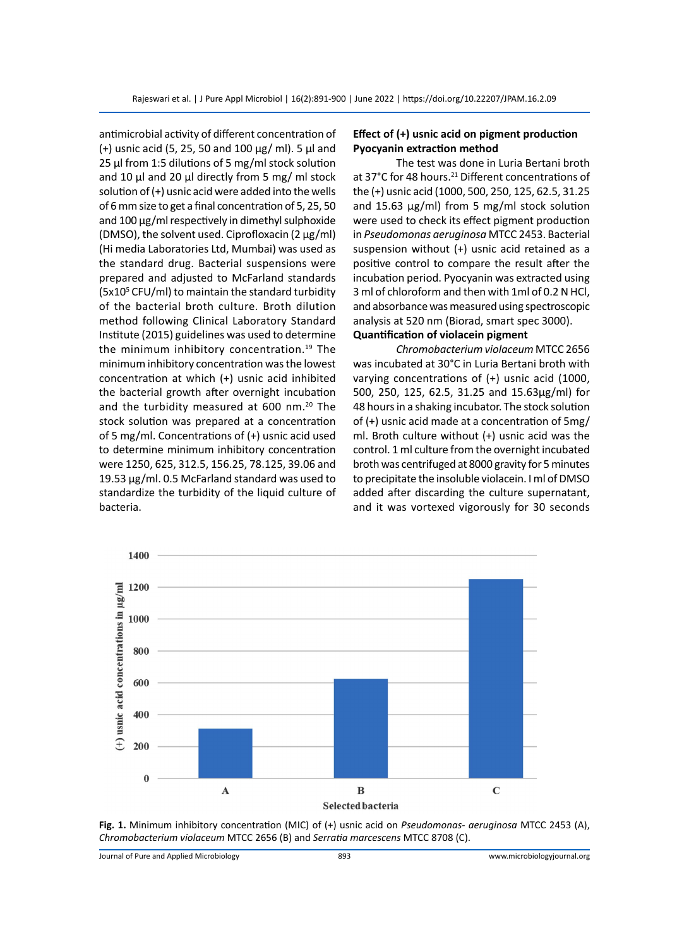antimicrobial activity of different concentration of (+) usnic acid (5, 25, 50 and 100  $\mu$ g/ ml). 5  $\mu$ l and 25 µl from 1:5 dilutions of 5 mg/ml stock solution and 10  $\mu$ l and 20  $\mu$ l directly from 5 mg/ ml stock solution of (+) usnic acid were added into the wells of 6 mm size to get a final concentration of 5, 25, 50 and 100 µg/ml respectively in dimethyl sulphoxide (DMSO), the solvent used. Ciprofloxacin (2  $\mu$ g/ml) (Hi media Laboratories Ltd, Mumbai) was used as the standard drug. Bacterial suspensions were prepared and adjusted to McFarland standards (5x10<sup>5</sup> CFU/ml) to maintain the standard turbidity of the bacterial broth culture. Broth dilution method following Clinical Laboratory Standard Institute (2015) guidelines was used to determine the minimum inhibitory concentration.<sup>19</sup> The minimum inhibitory concentration was the lowest concentration at which (+) usnic acid inhibited the bacterial growth after overnight incubation and the turbidity measured at 600 nm.<sup>20</sup> The stock solution was prepared at a concentration of 5 mg/ml. Concentrations of (+) usnic acid used to determine minimum inhibitory concentration were 1250, 625, 312.5, 156.25, 78.125, 39.06 and 19.53 µg/ml. 0.5 McFarland standard was used to standardize the turbidity of the liquid culture of bacteria.

## **Effect of (+) usnic acid on pigment production Pyocyanin extraction method**

The test was done in Luria Bertani broth at 37°C for 48 hours.<sup>21</sup> Different concentrations of the (+) usnic acid (1000, 500, 250, 125, 62.5, 31.25 and 15.63 µg/ml) from 5 mg/ml stock solution were used to check its effect pigment production in *Pseudomonas aeruginosa* MTCC 2453. Bacterial suspension without (+) usnic acid retained as a positive control to compare the result after the incubation period. Pyocyanin was extracted using 3 ml of chloroform and then with 1ml of 0.2 N HCl, and absorbance was measured using spectroscopic analysis at 520 nm (Biorad, smart spec 3000).

## **Quantification of violacein pigment**

*Chromobacterium violaceum* MTCC 2656 was incubated at 30°C in Luria Bertani broth with varying concentrations of (+) usnic acid (1000, 500, 250, 125, 62.5, 31.25 and 15.63µg/ml) for 48 hours in a shaking incubator. The stock solution of (+) usnic acid made at a concentration of 5mg/ ml. Broth culture without (+) usnic acid was the control. 1 ml culture from the overnight incubated broth was centrifuged at 8000 gravity for 5 minutes to precipitate the insoluble violacein. I ml of DMSO added after discarding the culture supernatant, and it was vortexed vigorously for 30 seconds



**Fig. 1.** Minimum inhibitory concentration (MIC) of (+) usnic acid on *Pseudomonas- aeruginosa* MTCC 2453 (A), *Chromobacterium violaceum* MTCC 2656 (B) and *Serratia marcescens* MTCC 8708 (C).

Journal of Pure and Applied Microbiology 893 www.microbiologyjournal.org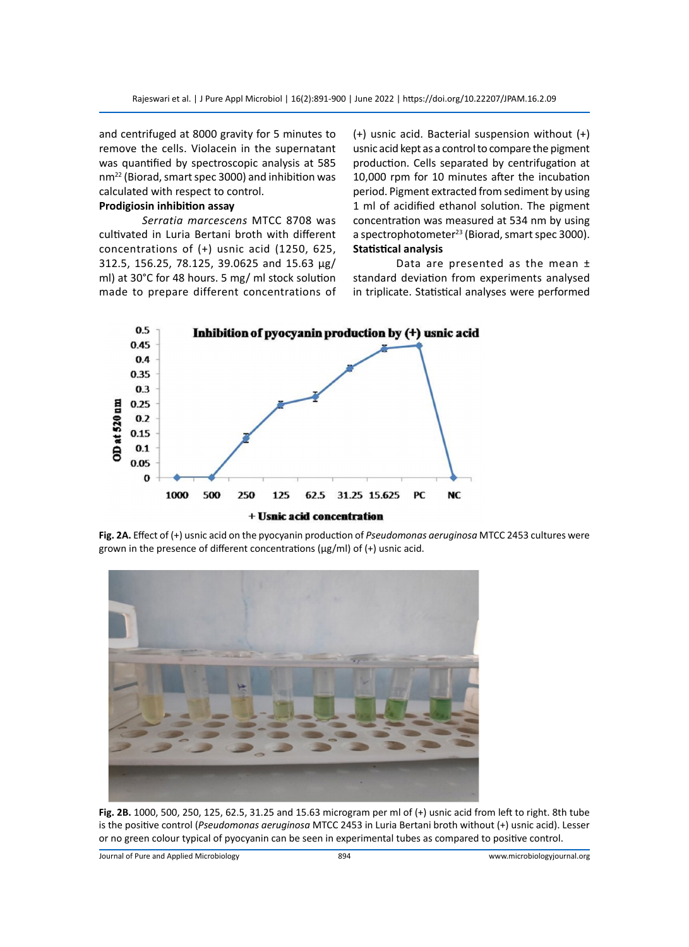and centrifuged at 8000 gravity for 5 minutes to remove the cells. Violacein in the supernatant was quantified by spectroscopic analysis at 585 nm22 (Biorad, smart spec 3000) and inhibition was calculated with respect to control.

## **Prodigiosin inhibition assay**

*Serratia marcescens* MTCC 8708 was cultivated in Luria Bertani broth with different concentrations of (+) usnic acid (1250, 625, 312.5, 156.25, 78.125, 39.0625 and 15.63 µg/ ml) at 30°C for 48 hours. 5 mg/ ml stock solution made to prepare different concentrations of (+) usnic acid. Bacterial suspension without (+) usnic acid kept as a control to compare the pigment production. Cells separated by centrifugation at 10,000 rpm for 10 minutes after the incubation period. Pigment extracted from sediment by using 1 ml of acidified ethanol solution. The pigment concentration was measured at 534 nm by using a spectrophotometer<sup>23</sup> (Biorad, smart spec 3000). **Statistical analysis**

Data are presented as the mean ± standard deviation from experiments analysed in triplicate. Statistical analyses were performed



**Fig. 2A.** Effect of (+) usnic acid on the pyocyanin production of *Pseudomonas aeruginosa* MTCC 2453 cultures were grown in the presence of different concentrations (µg/ml) of (+) usnic acid.



**Fig. 2B.** 1000, 500, 250, 125, 62.5, 31.25 and 15.63 microgram per ml of (+) usnic acid from left to right. 8th tube is the positive control (*Pseudomonas aeruginosa* MTCC 2453 in Luria Bertani broth without (+) usnic acid). Lesser or no green colour typical of pyocyanin can be seen in experimental tubes as compared to positive control.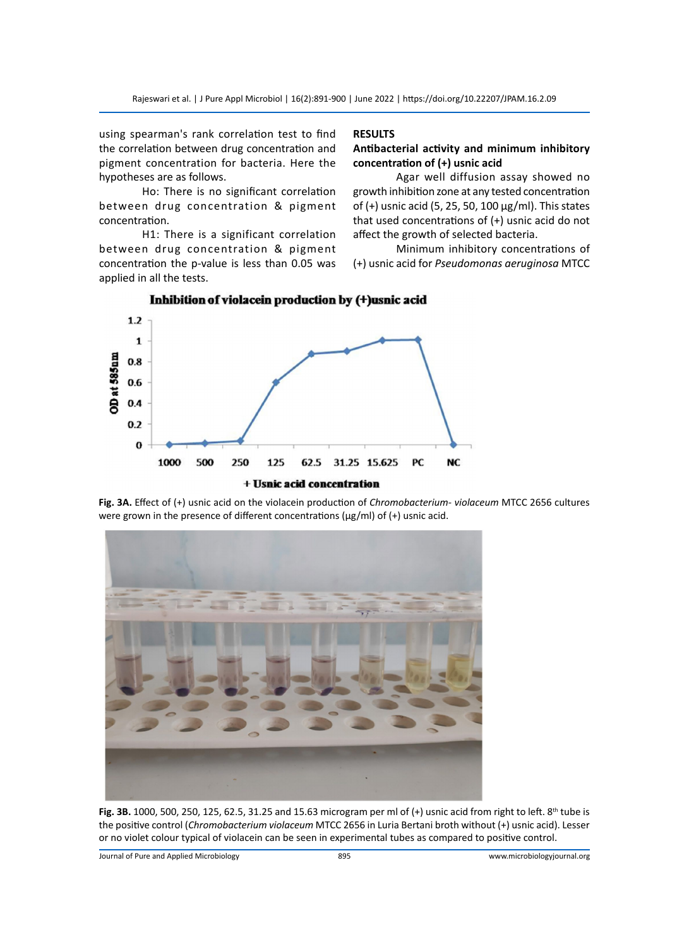using spearman's rank correlation test to find the correlation between drug concentration and pigment concentration for bacteria. Here the hypotheses are as follows.

Ho: There is no significant correlation between drug concentration & pigment concentration.

H1: There is a significant correlation between drug concentration & pigment concentration the p-value is less than 0.05 was applied in all the tests.

## **RESULTS**

## **Antibacterial activity and minimum inhibitory concentration of (+) usnic acid**

Agar well diffusion assay showed no growth inhibition zone at any tested concentration of (+) usnic acid (5, 25, 50, 100 µg/ml). This states that used concentrations of (+) usnic acid do not affect the growth of selected bacteria.

Minimum inhibitory concentrations of (+) usnic acid for *Pseudomonas aeruginosa* MTCC



Inhibition of violacein production by (+)usnic acid

**Fig. 3A.** Effect of (+) usnic acid on the violacein production of *Chromobacterium- violaceum* MTCC 2656 cultures were grown in the presence of different concentrations (µg/ml) of (+) usnic acid.



**Fig. 3B.** 1000, 500, 250, 125, 62.5, 31.25 and 15.63 microgram per ml of (+) usnic acid from right to left. 8<sup>th</sup> tube is the positive control (*Chromobacterium violaceum* MTCC 2656 in Luria Bertani broth without (+) usnic acid). Lesser or no violet colour typical of violacein can be seen in experimental tubes as compared to positive control.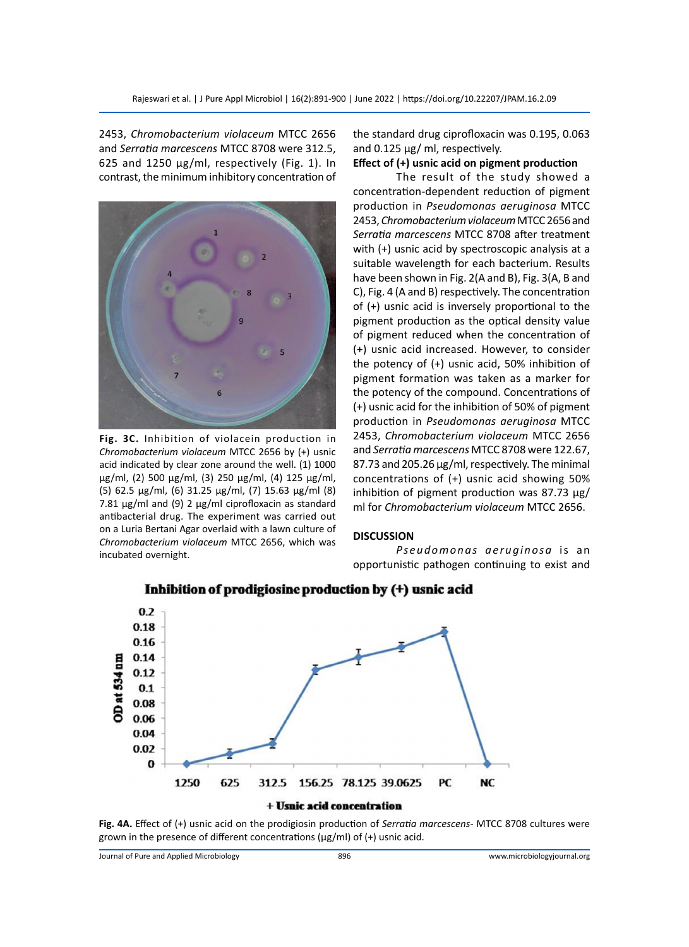2453, *Chromobacterium violaceum* MTCC 2656 and *Serratia marcescens* MTCC 8708 were 312.5, 625 and 1250 µg/ml, respectively (Fig. 1). In contrast, the minimum inhibitory concentration of



**Fig. 3C.** Inhibition of violacein production in *Chromobacterium violaceum* MTCC 2656 by (+) usnic acid indicated by clear zone around the well. (1) 1000 µg/ml, (2) 500 µg/ml, (3) 250 µg/ml, (4) 125 µg/ml, (5) 62.5 µg/ml, (6) 31.25 µg/ml, (7) 15.63 µg/ml (8) 7.81  $\mu$ g/ml and (9) 2  $\mu$ g/ml ciprofloxacin as standard antibacterial drug. The experiment was carried out on a Luria Bertani Agar overlaid with a lawn culture of *Chromobacterium violaceum* MTCC 2656, which was incubated overnight.

the standard drug ciprofloxacin was 0.195, 0.063 and 0.125 µg/ ml, respectively.

## **Effect of (+) usnic acid on pigment production**

The result of the study showed a concentration-dependent reduction of pigment production in *Pseudomonas aeruginosa* MTCC 2453, *Chromobacterium violaceum* MTCC 2656 and *Serratia marcescens* MTCC 8708 after treatment with (+) usnic acid by spectroscopic analysis at a suitable wavelength for each bacterium. Results have been shown in Fig. 2(A and B), Fig. 3(A, B and C), Fig. 4 (A and B) respectively. The concentration of (+) usnic acid is inversely proportional to the pigment production as the optical density value of pigment reduced when the concentration of (+) usnic acid increased. However, to consider the potency of (+) usnic acid, 50% inhibition of pigment formation was taken as a marker for the potency of the compound. Concentrations of (+) usnic acid for the inhibition of 50% of pigment production in *Pseudomonas aeruginosa* MTCC 2453, *Chromobacterium violaceum* MTCC 2656 and *Serratia marcescens* MTCC 8708 were 122.67, 87.73 and 205.26 µg/ml, respectively. The minimal concentrations of (+) usnic acid showing 50% inhibition of pigment production was 87.73 µg/ ml for *Chromobacterium violaceum* MTCC 2656.

#### **DISCUSSION**

Pseudomonas aeruginosa is an opportunistic pathogen continuing to exist and



## Inhibition of prodigiosine production by (+) usnic acid

**Fig. 4A.** Effect of (+) usnic acid on the prodigiosin production of *Serratia marcescens*- MTCC 8708 cultures were grown in the presence of different concentrations (µg/ml) of (+) usnic acid.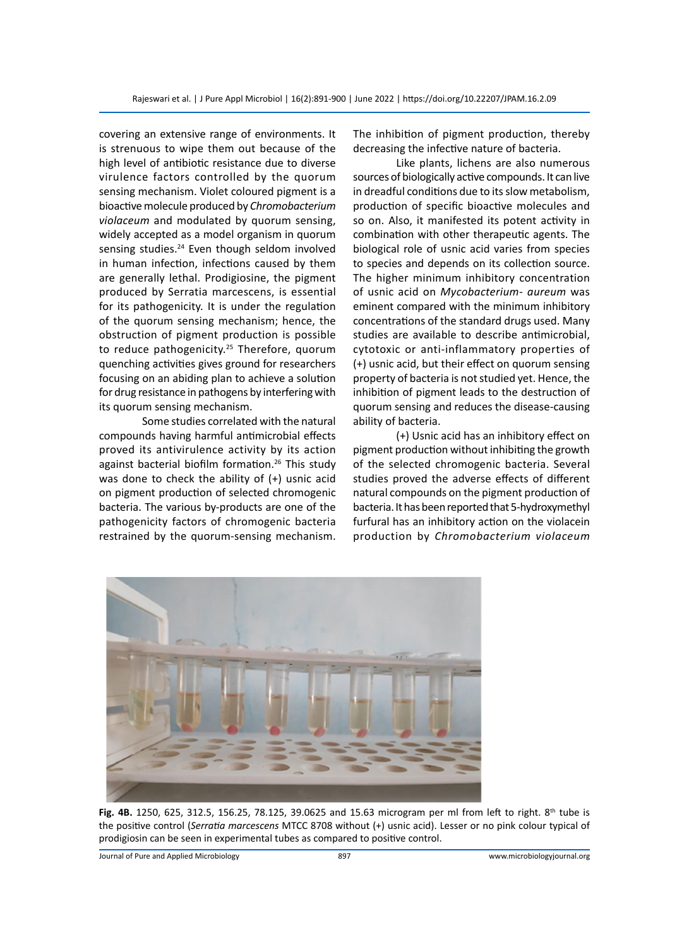covering an extensive range of environments. It is strenuous to wipe them out because of the high level of antibiotic resistance due to diverse virulence factors controlled by the quorum sensing mechanism. Violet coloured pigment is a bioactive molecule produced by *Chromobacterium violaceum* and modulated by quorum sensing, widely accepted as a model organism in quorum sensing studies.<sup>24</sup> Even though seldom involved in human infection, infections caused by them are generally lethal. Prodigiosine, the pigment produced by Serratia marcescens, is essential for its pathogenicity. It is under the regulation of the quorum sensing mechanism; hence, the obstruction of pigment production is possible to reduce pathogenicity.<sup>25</sup> Therefore, quorum quenching activities gives ground for researchers focusing on an abiding plan to achieve a solution for drug resistance in pathogens by interfering with its quorum sensing mechanism.

Some studies correlated with the natural compounds having harmful antimicrobial effects proved its antivirulence activity by its action against bacterial biofilm formation.<sup>26</sup> This study was done to check the ability of (+) usnic acid on pigment production of selected chromogenic bacteria. The various by-products are one of the pathogenicity factors of chromogenic bacteria restrained by the quorum-sensing mechanism. The inhibition of pigment production, thereby decreasing the infective nature of bacteria.

Like plants, lichens are also numerous sources of biologically active compounds. It can live in dreadful conditions due to its slow metabolism, production of specific bioactive molecules and so on. Also, it manifested its potent activity in combination with other therapeutic agents. The biological role of usnic acid varies from species to species and depends on its collection source. The higher minimum inhibitory concentration of usnic acid on *Mycobacterium- aureum* was eminent compared with the minimum inhibitory concentrations of the standard drugs used. Many studies are available to describe antimicrobial, cytotoxic or anti-inflammatory properties of (+) usnic acid, but their effect on quorum sensing property of bacteria is not studied yet. Hence, the inhibition of pigment leads to the destruction of quorum sensing and reduces the disease-causing ability of bacteria.

(+) Usnic acid has an inhibitory effect on pigment production without inhibiting the growth of the selected chromogenic bacteria. Several studies proved the adverse effects of different natural compounds on the pigment production of bacteria. It has been reported that 5-hydroxymethyl furfural has an inhibitory action on the violacein production by *Chromobacterium violaceum*



**Fig. 4B.** 1250, 625, 312.5, 156.25, 78.125, 39.0625 and 15.63 microgram per ml from left to right. 8th tube is the positive control (*Serratia marcescens* MTCC 8708 without (+) usnic acid). Lesser or no pink colour typical of prodigiosin can be seen in experimental tubes as compared to positive control.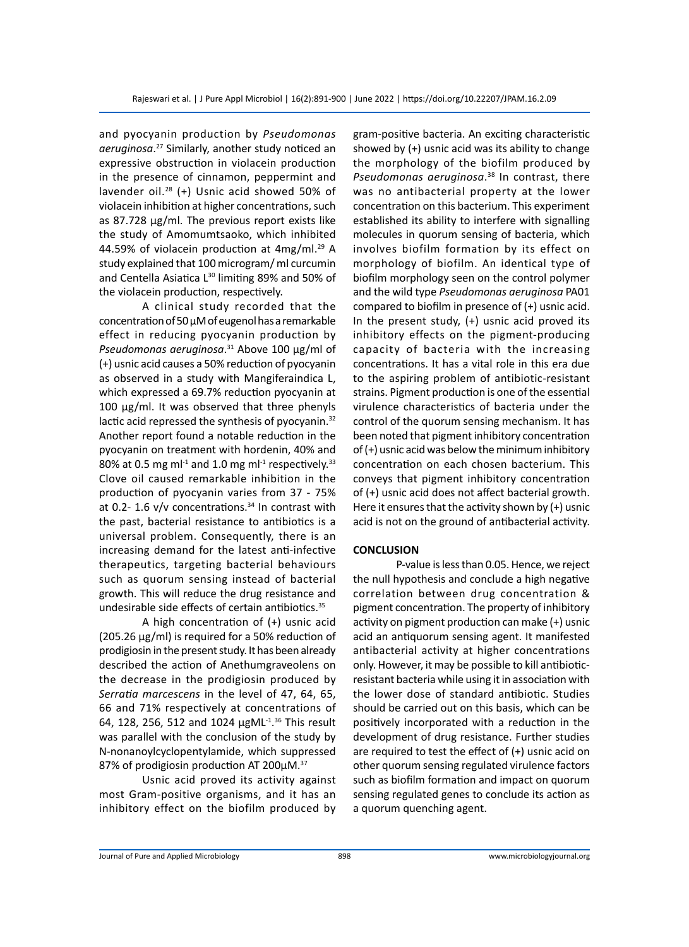and pyocyanin production by *Pseudomonas aeruginosa*. <sup>27</sup> Similarly, another study noticed an expressive obstruction in violacein production in the presence of cinnamon, peppermint and lavender oil.<sup>28</sup> (+) Usnic acid showed 50% of violacein inhibition at higher concentrations, such as 87.728 µg/ml. The previous report exists like the study of Amomumtsaoko, which inhibited 44.59% of violacein production at  $4mg/ml.<sup>29</sup>$  A study explained that 100 microgram/ ml curcumin and Centella Asiatica  $L^{30}$  limiting 89% and 50% of the violacein production, respectively.

A clinical study recorded that the concentration of 50 µM of eugenol has a remarkable effect in reducing pyocyanin production by *Pseudomonas aeruginosa*. <sup>31</sup> Above 100 µg/ml of (+) usnic acid causes a 50% reduction of pyocyanin as observed in a study with Mangiferaindica L, which expressed a 69.7% reduction pyocyanin at 100 µg/ml. It was observed that three phenyls lactic acid repressed the synthesis of pyocyanin.<sup>32</sup> Another report found a notable reduction in the pyocyanin on treatment with hordenin, 40% and 80% at 0.5 mg m $1<sup>-1</sup>$  and 1.0 mg m $1<sup>-1</sup>$  respectively.<sup>33</sup> Clove oil caused remarkable inhibition in the production of pyocyanin varies from 37 - 75% at 0.2- 1.6  $v/v$  concentrations.<sup>34</sup> In contrast with the past, bacterial resistance to antibiotics is a universal problem. Consequently, there is an increasing demand for the latest anti-infective therapeutics, targeting bacterial behaviours such as quorum sensing instead of bacterial growth. This will reduce the drug resistance and undesirable side effects of certain antibiotics.35

A high concentration of (+) usnic acid (205.26 µg/ml) is required for a 50% reduction of prodigiosin in the present study. It has been already described the action of Anethumgraveolens on the decrease in the prodigiosin produced by *Serratia marcescens* in the level of 47, 64, 65, 66 and 71% respectively at concentrations of 64, 128, 256, 512 and 1024 µgML-1. 36 This result was parallel with the conclusion of the study by N-nonanoylcyclopentylamide, which suppressed 87% of prodigiosin production AT 200µM.<sup>37</sup>

Usnic acid proved its activity against most Gram-positive organisms, and it has an inhibitory effect on the biofilm produced by gram-positive bacteria. An exciting characteristic showed by (+) usnic acid was its ability to change the morphology of the biofilm produced by *Pseudomonas aeruginosa*. <sup>38</sup> In contrast, there was no antibacterial property at the lower concentration on this bacterium. This experiment established its ability to interfere with signalling molecules in quorum sensing of bacteria, which involves biofilm formation by its effect on morphology of biofilm. An identical type of biofilm morphology seen on the control polymer and the wild type *Pseudomonas aeruginosa* PA01 compared to biofilm in presence of (+) usnic acid. In the present study, (+) usnic acid proved its inhibitory effects on the pigment-producing capacity of bacteria with the increasing concentrations. It has a vital role in this era due to the aspiring problem of antibiotic-resistant strains. Pigment production is one of the essential virulence characteristics of bacteria under the control of the quorum sensing mechanism. It has been noted that pigment inhibitory concentration of (+) usnic acid was below the minimum inhibitory concentration on each chosen bacterium. This conveys that pigment inhibitory concentration of (+) usnic acid does not affect bacterial growth. Here it ensures that the activity shown by (+) usnic acid is not on the ground of antibacterial activity.

## **CONCLUSION**

P-value is less than 0.05. Hence, we reject the null hypothesis and conclude a high negative correlation between drug concentration & pigment concentration. The property of inhibitory activity on pigment production can make (+) usnic acid an antiquorum sensing agent. It manifested antibacterial activity at higher concentrations only. However, it may be possible to kill antibioticresistant bacteria while using it in association with the lower dose of standard antibiotic. Studies should be carried out on this basis, which can be positively incorporated with a reduction in the development of drug resistance. Further studies are required to test the effect of (+) usnic acid on other quorum sensing regulated virulence factors such as biofilm formation and impact on quorum sensing regulated genes to conclude its action as a quorum quenching agent.

Journal of Pure and Applied Microbiology 898 www.microbiologyjournal.org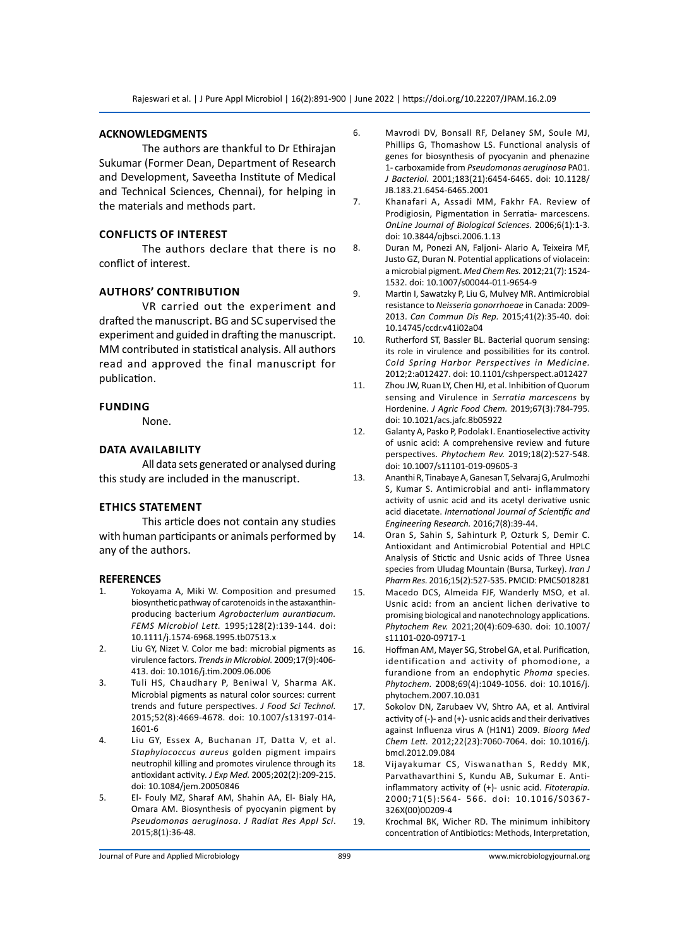#### **ACKNOWLEDGMENTS**

The authors are thankful to Dr Ethirajan Sukumar (Former Dean, Department of Research and Development, Saveetha Institute of Medical and Technical Sciences, Chennai), for helping in the materials and methods part.

#### **Conflicts of interest**

The authors declare that there is no conflict of interest.

## **AuthorS' contribution**

VR carried out the experiment and drafted the manuscript. BG and SC supervised the experiment and guided in drafting the manuscript. MM contributed in statistical analysis. All authors read and approved the final manuscript for publication.

#### **Funding**

None.

#### **Data availability**

All data sets generated or analysed during this study are included in the manuscript.

#### **Ethics statement**

This article does not contain any studies with human participants or animals performed by any of the authors.

#### **REFERENCES**

- 1. Yokoyama A, Miki W. Composition and presumed biosynthetic pathway of carotenoids in the astaxanthinproducing bacterium *Agrobacterium aurantiacum. FEMS Microbiol Lett.* 1995;128(2):139-144. doi: 10.1111/j.1574-6968.1995.tb07513.x
- 2. Liu GY, Nizet V. Color me bad: microbial pigments as virulence factors. *Trends in Microbiol.* 2009;17(9):406- 413. doi: 10.1016/j.tim.2009.06.006
- 3. Tuli HS, Chaudhary P, Beniwal V, Sharma AK. Microbial pigments as natural color sources: current trends and future perspectives. *J Food Sci Technol.* 2015;52(8):4669-4678. doi: 10.1007/s13197-014- 1601-6
- 4. Liu GY, Essex A, Buchanan JT, Datta V, et al. *Staphylococcus aureus* golden pigment impairs neutrophil killing and promotes virulence through its antioxidant activity*. J Exp Med.* 2005;202(2):209-215. doi: 10.1084/jem.20050846
- 5. El- Fouly MZ, Sharaf AM, Shahin AA, El- Bialy HA, Omara AM. Biosynthesis of pyocyanin pigment by *Pseudomonas aeruginosa*. *J Radiat Res Appl Sci*. 2015;8(1):36-48.
- 6. Mavrodi DV, Bonsall RF, Delaney SM, Soule MJ, Phillips G, Thomashow LS. Functional analysis of genes for biosynthesis of pyocyanin and phenazine 1- carboxamide from *Pseudomonas aeruginosa* PA01. *J Bacteriol.* 2001;183(21):6454-6465. doi: 10.1128/ JB.183.21.6454-6465.2001
- 7. Khanafari A, Assadi MM, Fakhr FA. Review of Prodigiosin, Pigmentation in Serratia- marcescens. *OnLine Journal of Biological Sciences.* 2006;6(1):1-3. doi: 10.3844/ojbsci.2006.1.13
- 8. Duran M, Ponezi AN, Faljoni- Alario A, Teixeira MF, Justo GZ, Duran N. Potential applications of violacein: a microbial pigment. *Med Chem Res.* 2012;21(7): 1524- 1532. doi: 10.1007/s00044-011-9654-9
- 9. Martin I, Sawatzky P, Liu G, Mulvey MR. Antimicrobial resistance to *Neisseria gonorrhoeae* in Canada: 2009- 2013. *Can Commun Dis Rep.* 2015;41(2):35-40. doi: 10.14745/ccdr.v41i02a04
- 10. Rutherford ST, Bassler BL. Bacterial quorum sensing: its role in virulence and possibilities for its control. *Cold Spring Harbor Perspectives in Medicine.* 2012;2:a012427. doi: 10.1101/cshperspect.a012427
- 11. Zhou JW, Ruan LY, Chen HJ, et al. Inhibition of Quorum sensing and Virulence in *Serratia marcescens* by Hordenine. *J Agric Food Chem.* 2019;67(3):784-795. doi: 10.1021/acs.jafc.8b05922
- 12. Galanty A, Pasko P, Podolak I. Enantioselective activity of usnic acid: A comprehensive review and future perspectives. *Phytochem Rev.* 2019;18(2):527-548. doi: 10.1007/s11101-019-09605-3
- 13. Ananthi R, Tinabaye A, Ganesan T, Selvaraj G, Arulmozhi S, Kumar S. Antimicrobial and anti- inflammatory activity of usnic acid and its acetyl derivative usnic acid diacetate. *International Journal of Scientific and Engineering Research.* 2016;7(8):39-44.
- 14. Oran S, Sahin S, Sahinturk P, Ozturk S, Demir C. Antioxidant and Antimicrobial Potential and HPLC Analysis of Stictic and Usnic acids of Three Usnea species from Uludag Mountain (Bursa, Turkey). *Iran J Pharm Res.* 2016;15(2):527-535. PMCID: PMC5018281
- 15. Macedo DCS, Almeida FJF, Wanderly MSO, et al. Usnic acid: from an ancient lichen derivative to promising biological and nanotechnology applications. *Phytochem Rev.* 2021;20(4):609-630. doi: 10.1007/ s11101-020-09717-1
- 16. Hoffman AM, Mayer SG, Strobel GA, et al. Purification, identification and activity of phomodione, a furandione from an endophytic *Phoma* species. *Phytochem.* 2008;69(4):1049-1056. doi: 10.1016/j. phytochem.2007.10.031
- 17. Sokolov DN, Zarubaev VV, Shtro AA, et al. Antiviral activity of  $(-)$ - and  $(+)$ - usnic acids and their derivatives against Influenza virus A (H1N1) 2009. *Bioorg Med Chem Lett.* 2012;22(23):7060-7064. doi: 10.1016/j. bmcl.2012.09.084
- 18. Vijayakumar CS, Viswanathan S, Reddy MK, Parvathavarthini S, Kundu AB, Sukumar E. Antiinflammatory activity of (+)- usnic acid. *Fitoterapia.*  2000;71(5):564- 566. doi: 10.1016/S0367- 326X(00)00209-4
- 19. Krochmal BK, Wicher RD. The minimum inhibitory concentration of Antibiotics: Methods, Interpretation,